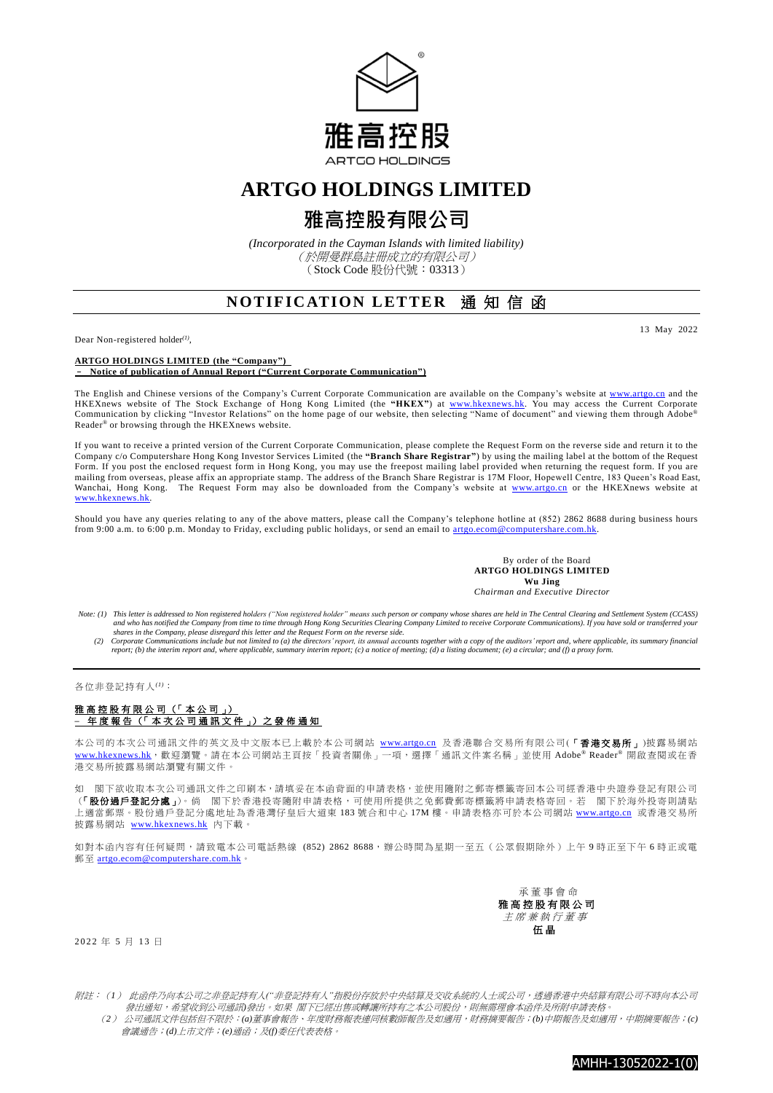

## **ARTGO HOLDINGS LIMITED**

# **雅高控股有限公司**

*(Incorporated in the Cayman Islands with limited liability)* (於開曼群島註冊成立的有限公司) (Stock Code 股份代號:03313)

## **NOTIFICATION LETTER 涌知信函**

Dear Non-registered holder*(1)* ,

13 May 2022

**ARTGO HOLDINGS LIMITED (the "Company")** – **Notice of publication of Annual Report ("Current Corporate Communication")**

The English and Chinese versions of the Company's Current Corporate Communication are available on the Company's website at [www.artgo.cn](http://www.artgo.cn/) and the HKEXnews website of The Stock Exchange of Hong Kong Limited (the **"HKEX"**) at [www.hkexnews.hk.](http://www.hkexnews.hk/) You may access the Current Corporate Communication by clicking "Investor Relations" on the home page of our website, then selecting "Name of document" and viewing them through Adobe® Reader® or browsing through the HKEXnews website.

If you want to receive a printed version of the Current Corporate Communication, please complete the Request Form on the reverse side and return it to the Company c/o Computershare Hong Kong Investor Services Limited (the **"Branch Share Registrar"**) by using the mailing label at the bottom of the Request Form. If you post the enclosed request form in Hong Kong, you may use the freepost mailing label provided when returning the request form. If you are mailing from overseas, please affix an appropriate stamp. The address of the Branch Share Registrar is 17M Floor, Hopewell Centre, 183 Queen's Road East, Wanchai, Hong Kong. The Request Form may also be downloaded from the Company's website at [www.artgo.cn](http://www.artgo.cn/) or the HKEXnews website at [www.hkexnews.hk.](http://www.hkexnews.hk/)

Should you have any queries relating to any of the above matters, please call the Company's telephone hotline at (852) 2862 8688 during business hours from 9:00 a.m. to 6:00 p.m. Monday to Friday, excluding public holidays, or send an email to artgo.ecom@computershare.com.hk

> By order of the Board **ARTGO HOLDINGS LIMITED Wu Jing** *Chairman and Executive Director*

Note: (1) This letter is addressed to Non registered holders ("Non registered holder" means such person or company whose shares are held in The Central Clearing and Settlement System (CCASS)<br>and who has notified the Compan

shares in the Company, please disregard this letter and the Request Form on the reverse side.<br>(2) Corporate Communications include but not limited to (a) the directors' report, its annual accounts together with a copy of t *report; (b) the interim report and, where applicable, summary interim report; (c) a notice of meeting; (d) a listing document; (e) a circular; and (f) a proxy form.*

## 各位非登記持有人*(1)*:

### 雅高控股有限公司 (「本公司」) **–** 年 度 報 告 (「 本 次 公 司 通 訊 文 件 」) 之 發 佈 通 知

本公司的本次公司通訊文件的英文及中文版本已上載於本公司網站 [www.artgo.cn](http://www.artgo.cn/) 及香港聯合交易所有限公司(「香港交易所」)披露易網站 [www.hkexnews.hk](https://www.hkexnews.hk/index_c.htm), 歡迎瀏覽。請在本公司網站主頁按「投資者關係」一項,選擇「通訊文件案名稱」並使用 Adobe® Reader® 開啟查閱或在香 港交易所披露易網站瀏覽有關文件。

如 閣下欲收取本次公司通訊文件之印刷本,請填妥在本函背面的申請表格,並使用隨附之郵寄標籤寄回本公司經香港中央證券登記有限公司 (「股份過戶登記分處」)。倘 閣下於香港投寄隨附申請表格,可使用所提供之免郵費郵寄標籤將申請表格寄回。若 閣下於海外投寄則請貼 上適當郵票。股份過戶登記分處地址為香港灣仔皇后大道東 183 號合和中心 17M 樓。申請表格亦可於本公司網站 [www.artgo.cn](http://www.artgo.cn/) 或香港交易所 披露易網站 [www.hkexnews.hk](https://www.hkexnews.hk/index_c.htm) 內下載。

如對本函內容有任何疑問,請致電本公司電話熱線 (852) 2862 8688,辦公時間為星期一至五 (公眾假期除外)上午 9 時正至下午 6 時正或電 郵至 [artgo.ecom@computershare.com.hk](mailto:artgo.ecom@computershare.com.hk)

> 承 董事會命 雅 高 控 股 有 限 公 司 主席兼執行董事 伍 晶

### 2022 年 5 月 13 日

附註:(*1*) 此函件乃向本公司之非登記持有人*("*非登記持有人*"*指股份存放於中央結算及交收系統的人士或公司,透過香港中央結算有限公司不時向本公司 發出通知,希望收到公司通訊**發出。如果 閣下已經出售或轉讓所持有之本公司股份,則無需理會本函件及所附申請表格** 

 (*2*) 公司通訊文件包括但不限於:*(a)*董事會報告、年度財務報表連同核數師報告及如適用,財務摘要報告;*(b)*中期報告及如適用,中期摘要報告;*(c)* 會議通告;*(d)*上市文件;*(e)*通函;及*(f)*委任代表表格。